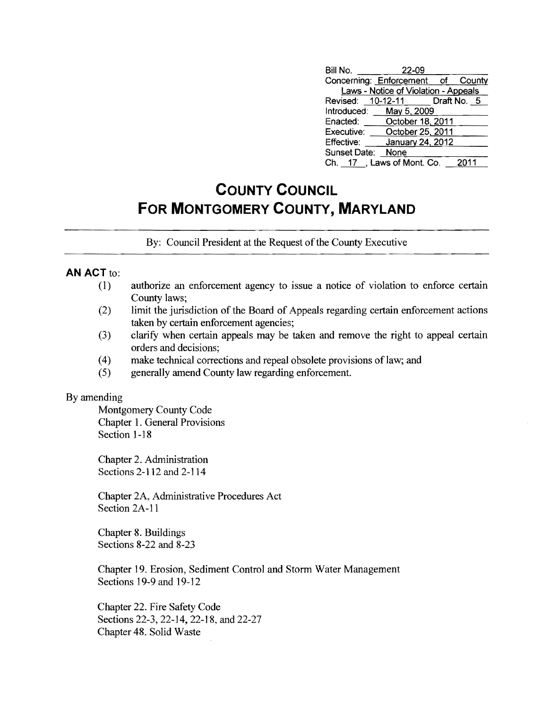| Bill No.          | 22-09                                       |      |
|-------------------|---------------------------------------------|------|
|                   | Concerning: Enforcement of County           |      |
|                   | <b>Laws - Notice of Violation - Appeals</b> |      |
|                   | Revised: 10-12-11 Draft No. 5               |      |
|                   | Introduced: May 5, 2009                     |      |
|                   | Enacted: October 18, 2011                   |      |
| Executive:        | October 25, 2011                            |      |
| Effective:        | January 24, 2012                            |      |
| Sunset Date: None |                                             |      |
|                   | Ch. 17, Laws of Mont. Co.                   | 2011 |

# **COUNTY COUNCIL FOR MONTGOMERY COUNTY, MARYLAND**

By: Council President at the Request of the County Executive

### **AN** ACT to:

- (1) authorize an enforcement agency to issue a notice of violation to enforce certain County laws;
- $(2)$  limit the jurisdiction of the Board of Appeals regarding certain enforcement actions taken by certain enforcement agencies;
- (3) clarify when certain appeals may be taken and remove the right to appeal certain orders and decisions;
- (4) make technical corrections and repeal obsolete provisions oflaw; and
- (5) generally amend County law regarding enforcement.

#### By amending

Montgomery County Code Chapter 1. General Provisions Section 1-18

Chapter 2. Administration Sections 2-112 and 2-114

Chapter 2A, Administrative Procedures Act Section 2A-Il

Chapter 8. Buildings Sections 8-22 and 8-23

Chapter 19. Erosion, Sediment Control and Storm Water Management Sections 19-9 and 19-12

Chapter 22. Fire Safety Code Sections 22-3,22-14,22-18, and 22-27 Chapter 48. Solid Waste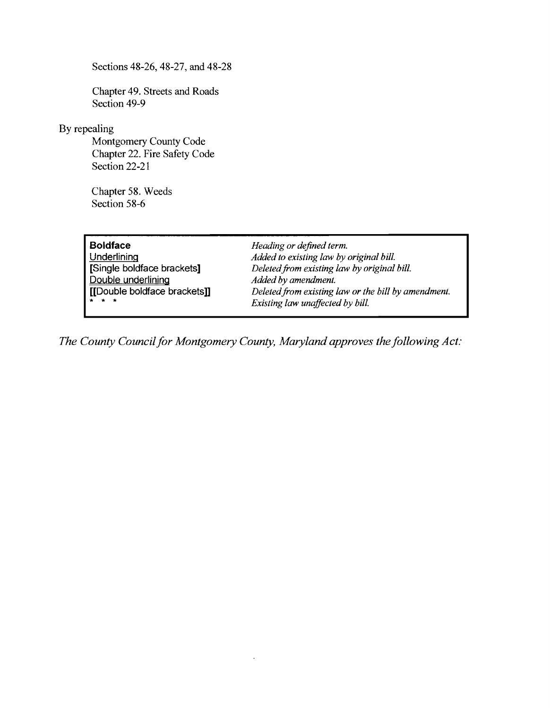Sections 48-26,48-27, and 48-28

Chapter 49. Streets and Roads Section 49-9

### By repealing

Montgomery County Code Chapter 22. Fire Safety Code Section 22-21

Chapter 58. Weeds Section 58-6

**Boldface** *Heading or defined term.*  **Underlining** *Added to existing law by original bill.*  **[Single boldface brackets]** *Deletedfrom existing law by original bill.*  Added by amendment. **[[Double boldface brackets]]** *Deleted from existing law or the bill by amendment.*   $Existing$  law unaffected by bill.

*The County Council for Montgomery County, Maryland approves the following Act:*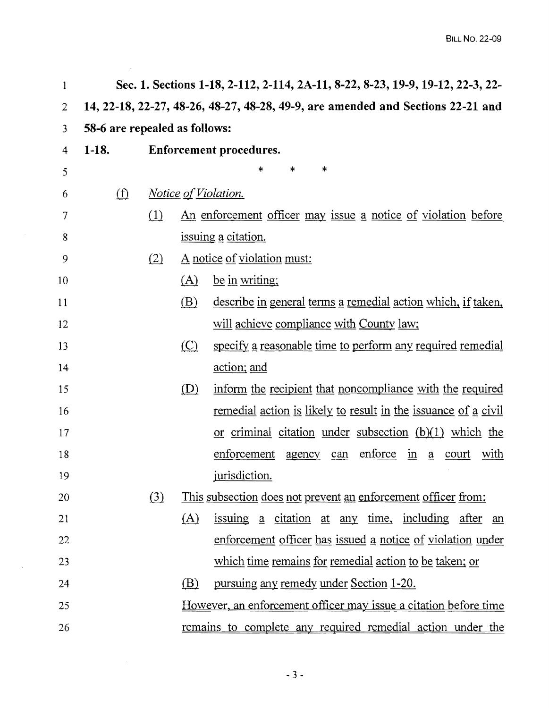| 1  |                               |                  |            | Sec. 1. Sections 1-18, 2-112, 2-114, 2A-11, 8-22, 8-23, 19-9, 19-12, 22-3, 22-                         |
|----|-------------------------------|------------------|------------|--------------------------------------------------------------------------------------------------------|
| 2  |                               |                  |            | 14, 22-18, 22-27, 48-26, 48-27, 48-28, 49-9, are amended and Sections 22-21 and                        |
| 3  | 58-6 are repealed as follows: |                  |            |                                                                                                        |
| 4  | $1-18.$                       |                  |            | <b>Enforcement procedures.</b>                                                                         |
| 5  |                               |                  |            | $\ast$<br>*<br>*                                                                                       |
| 6  | $\bigoplus$                   |                  |            | <i>Notice of Violation.</i>                                                                            |
| 7  |                               | (1)              |            | <u>An enforcement officer may issue a notice of violation before</u>                                   |
| 8  |                               |                  |            | issuing a citation.                                                                                    |
| 9  |                               | (2)              |            | A notice of violation must:                                                                            |
| 10 |                               |                  | (A)        | be in writing:                                                                                         |
| 11 |                               |                  | <u>(B)</u> | describe in general terms a remedial action which, if taken,                                           |
| 12 |                               |                  |            | will achieve compliance with County law;                                                               |
| 13 |                               |                  | $\circ$    | specify a reasonable time to perform any required remedial                                             |
| 14 |                               |                  |            | <u>action; and</u>                                                                                     |
| 15 |                               |                  | (D)        | inform the recipient that noncompliance with the required                                              |
| 16 |                               |                  |            | <u>remedial action is likely to result in the issuance of a civil</u>                                  |
| 17 |                               |                  |            | or criminal citation under subsection $(b)(1)$ which the                                               |
| 18 |                               |                  |            | enforce<br>enforcement<br>$\underline{\text{in}}$<br>with<br>agency<br>court<br>can<br>$\underline{a}$ |
| 19 |                               |                  |            | jurisdiction.                                                                                          |
| 20 |                               | $\left(3\right)$ |            | This subsection does not prevent an enforcement officer from:                                          |
| 21 |                               |                  | (A)        | <u>issuing a citation at any time, including after an</u>                                              |
| 22 |                               |                  |            | enforcement officer has issued a notice of violation under                                             |
| 23 |                               |                  |            | which time remains for remedial action to be taken; or                                                 |
| 24 |                               |                  | <u>(B)</u> | <u>pursuing any remedy under Section 1-20.</u>                                                         |
| 25 |                               |                  |            | <u>However, an enforcement officer may issue a citation before time</u>                                |
| 26 |                               |                  |            | remains to complete any required remedial action under the                                             |
|    |                               |                  |            |                                                                                                        |

 $\label{eq:2.1} \mathcal{L} = \mathcal{L} \left( \mathcal{L} \right) \left( \mathcal{L} \right)$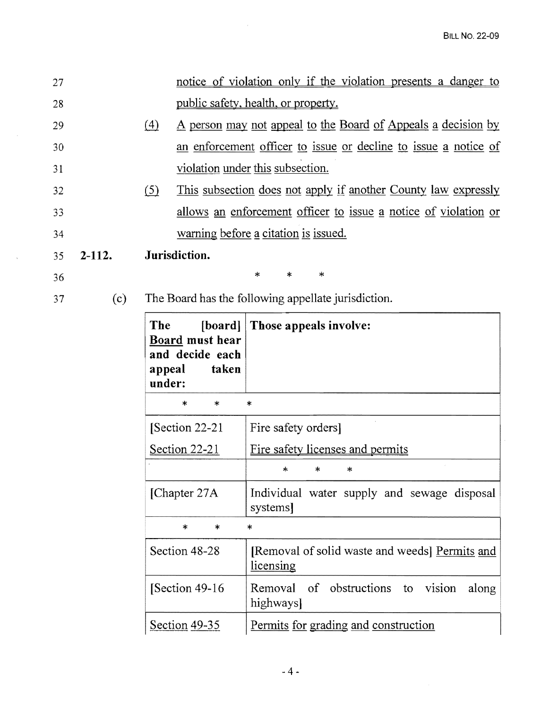| 27 |          |                  |                                          | notice of violation only if the violation presents a danger to        |
|----|----------|------------------|------------------------------------------|-----------------------------------------------------------------------|
| 28 |          |                  |                                          | public safety, health, or property.                                   |
| 29 |          | $\left(4\right)$ |                                          | A person may not appeal to the Board of Appeals a decision by         |
| 30 |          |                  |                                          | an enforcement officer to issue or decline to issue a notice of       |
| 31 |          |                  |                                          | violation under this subsection.                                      |
| 32 |          | (5)              |                                          | <u>This subsection does not apply if another County law expressly</u> |
| 33 |          |                  |                                          | allows an enforcement officer to issue a notice of violation or       |
| 34 |          |                  |                                          | warning before a citation is issued.                                  |
| 35 | $2-112.$ |                  | Jurisdiction.                            |                                                                       |
| 36 |          |                  |                                          | $\ast$<br>$\ast$<br>$\ast$                                            |
| 37 | (c)      |                  |                                          | The Board has the following appellate jurisdiction.                   |
|    |          | The              | $\lceil board \rceil$<br>Board must hear | Those appeals involve:                                                |
|    |          | appeal<br>under: | and decide each<br>taken                 |                                                                       |
|    |          |                  | $\ast$<br>$\ast$                         | $\ast$                                                                |
|    |          |                  | Section 22-21                            | Fire safety orders]                                                   |
|    |          |                  | Section 22-21                            | Fire safety licenses and permits                                      |
|    |          |                  |                                          | $\ast$<br>*<br>*                                                      |
|    |          |                  | [Chapter 27A]                            | Individual water supply and sewage disposal<br>systems                |
|    |          |                  | $\ast$<br>$*$                            | $\ast$                                                                |
|    |          |                  | Section 48-28                            | [Removal of solid waste and weeds] Permits and<br>licensing           |
|    |          |                  | [Section 49-16]                          | of obstructions to<br>Removal<br>vision<br>along<br>highways          |

 $\cdot$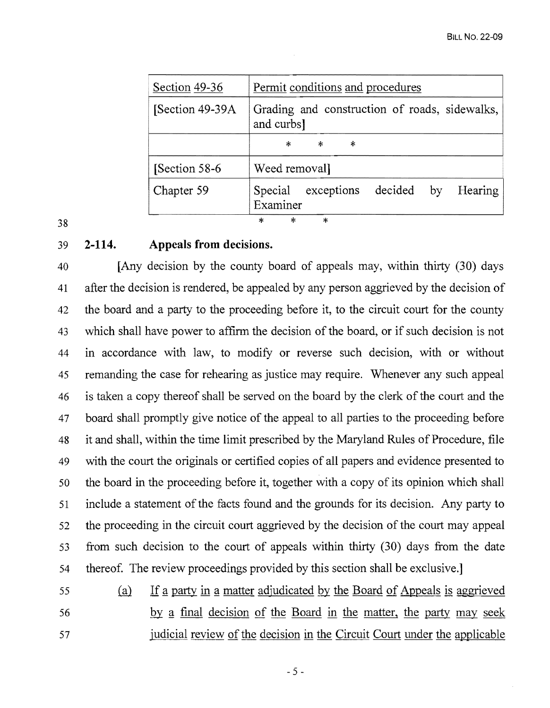|    | Section 49-36    | Permit conditions and procedures                                     |
|----|------------------|----------------------------------------------------------------------|
|    | [Section 49-39A] | Grading and construction of roads, sidewalks,<br>and curbs]          |
|    |                  | $\ast$<br>$\star$<br>$\ast$                                          |
|    | Section 58-6     | Weed removal                                                         |
|    | Chapter 59       | decided<br>Special<br>exceptions<br><b>Hearing</b><br>by<br>Examiner |
| 38 |                  | $\ast$<br>$\star$<br>$\ast$                                          |

### 39 **2-114. Appeals from decisions.**

40 [Any decision by the county board of appeals may, within thirty (30) days 41 after the decision is rendered, be appealed by any person aggrieved by the decision of 42 the board and a party to the proceeding before it, to the circuit court for the county 43 which shall have power to affirm the decision of the board, or if such decision is not 44 in accordance with law, to modify or reverse such decision, with or without 45 remanding the case for rehearing as justice may require. Whenever any such appeal 46 is taken a copy thereof shall be served on the board by the clerk of the court and the 47 board shall promptly give notice of the appeal to all parties to the proceeding before 48 it and shall, within the time limit prescribed by the Maryland Rules of Procedure, file 49 with the court the originals or certified copies of all papers and evidence presented to 50 the board in the proceeding before it, together with a copy of its opinion which shall 51 include a statement of the facts found and the grounds for its decision. Any party to 52 the proceeding in the circuit court aggrieved by the decision of the court may appeal 53 from such decision to the court of appeals within thirty (30) days from the date 54 thereof. The review proceedings provided by this section shall be exclusive.]

55 (a) If a party in a matter adjudicated by the Board of Appeals is aggrieved 56 by a final decision of the Board in the matter, the party may seek 57 judicial review of the decision in the Circuit Court under the applicable

 $-5 -$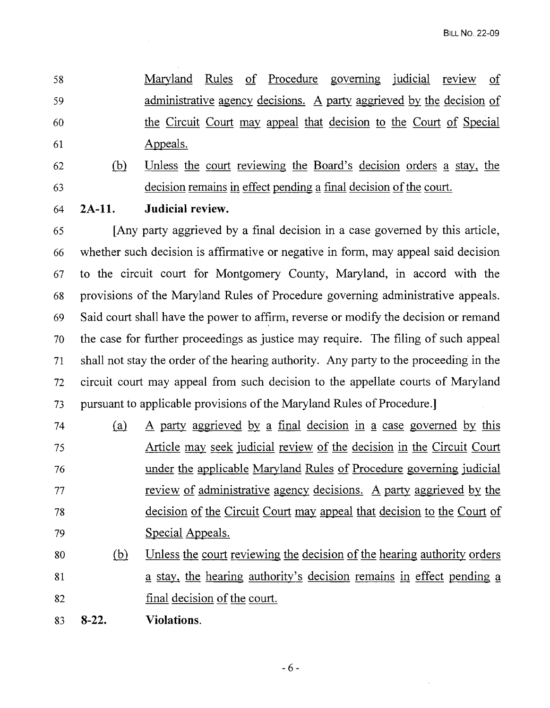58 Maryland Rules of Procedure governing judicial review of 59 administrative agency decisions. A party aggrieved by the decision of 60 the Circuit Court may appeal that decision to the Court of Special 61 Appeals.

62 (b) Unless the court reviewing the Board's decision orders a stay, the 63 decision remains in effect pending a final decision of the court.

64 **2A-l1. Judicial review.** 

65 [Any party aggrieved by a final decision in a case governed by this article, 66 whether such decision is affirmative or negative in form, may appeal said decision 67 to the circuit court for Montgomery County, Maryland, in accord with the 68 provisions of the Maryland Rules of Procedure governing administrative appeals. 69 Said court shall have the power to affirm, reverse or modify the decision or remand 70 the case for further proceedings as justice may require. The filing of such appeal 71 shall not stay the order of the hearing authority. Any party to the proceeding in the 72 circuit court may appeal from such decision to the appellate courts of Maryland 73 pursuant to applicable provisions of the Maryland Rules of Procedure.

- 74 (a) A party aggrieved by a final decision in a case governed by this 75 Article may seek judicial review of the decision in the Circuit Court <sup>76</sup>under the applicable Maryland Rules of Procedure governing judicial 77 review of administrative agency decisions. A party aggrieved by the 78 decision of the Circuit Court may appeal that decision to the Court of 79 Special Appeals.
- 80 (hl Unless the court reviewing the decision of the hearing authority orders 81 6 81 81 a stay, the hearing authority's decision remains in effect pending a 82 final decision of the court.
- 83 **8-22. Violations.**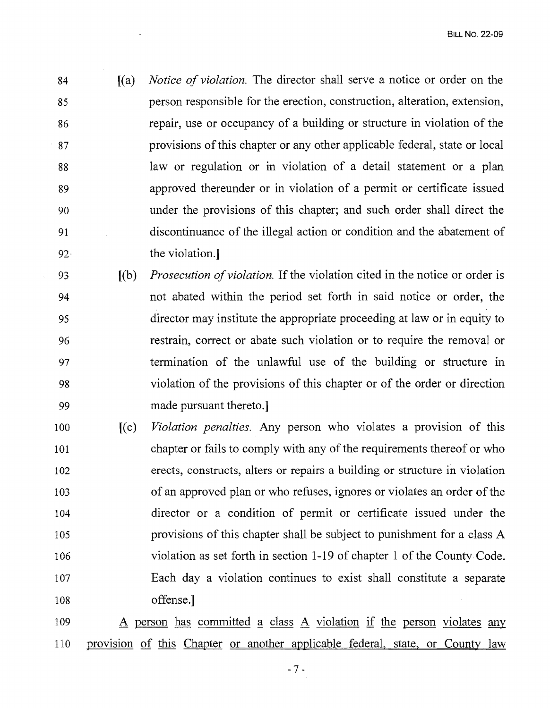- 84 [(a) *Notice of violation.* The director shall serve a notice or order on the 85 person responsible for the erection, construction, alteration, extension, 86 repair, use or occupancy of a building or structure in violation of the 87 provisions of this chapter or any other applicable federal, state or local 88 law or regulation or in violation of a detail statement or a plan 89 approved thereunder or in violation of a permit or certificate issued 90 under the provisions of this chapter; and such order shall direct the 91 discontinuance of the illegal action or condition and the abatement of 92· the violation.1
- 93 [(b) *Prosecution ofviolation.* If the violation cited in the notice or order is 94 not abated within the period set forth in said notice or order, the 95 director may institute the appropriate proceeding at law or in equity to 96 restrain, correct or abate such violation or to require the removal or 97 termination of the unlawful use of the building or structure in 98 violation of the provisions of this chapter or of the order or direction 99 made pursuant thereto.)
- 100 **[(c)** *Violation penalties.* Any person who violates a provision of this 101 chapter or fails to comply with any of the requirements thereof or who 102 erects, constructs, alters or repairs a building or structure in violation 103 of an approved plan or who refuses, ignores or violates an order of the 104 director or a condition of permit or certificate issued under the 105 provisions of this chapter shall be subject to punishment for a class A 106 violation as set forth in section 1-19 of chapter 1 of the County Code. 107 Each day a violation continues to exist shall constitute a separate 108 offense.]
- 109 A person has committed a class A violation if the person violates any 110 provision of this Chapter or another applicable federal, state, or County law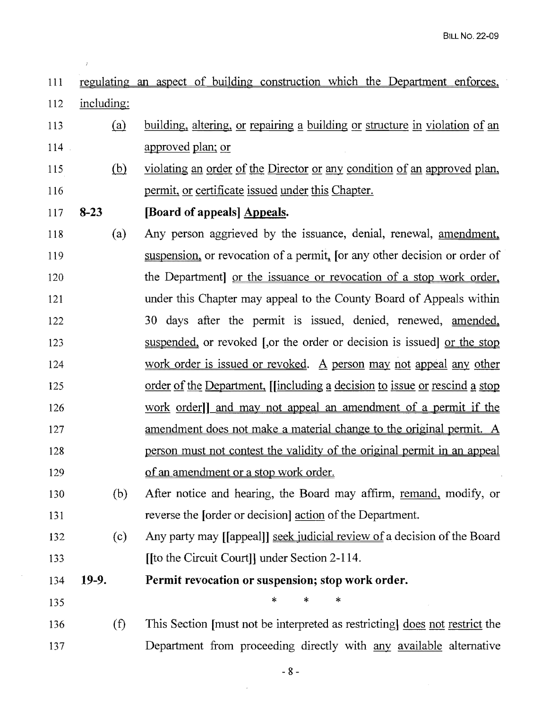III regulating an aspect of building construction which the Department enforces, 112 including:

- 113 (a) building, altering, or repairing a building or structure in violation of an 114 approved plan; or
- 115 (hl violating an order of the Director or any condition of an approved plan, 116 commit, or certificate issued under this Chapter.

## 117 8-23 [Board of appeals] Appeals.

- 118 (a) Any person aggrieved by the issuance, denial, renewal, amendment, 119 **Supension**, or revocation of a permit, [or any other decision or order of 120 the Department or the issuance or revocation of a stop work order. 121 under this Chapter may appeal to the County Board of Appeals within 122 30 days after the permit is issued, denied, renewed, amended, 123 suspended, or revoked [,or the order or decision is issued] or the stop 124 work order is issued or revoked. A person may not appeal any other 125 order of the Department, [[including a decision to issue or rescind a stop 126 work order]] and may not appeal an amendment of a permit if the 127 amendment does not make a material change to the original permit. A 128 person must not contest the validity of the original permit in an appeal 129 of an amendment or a stop work order.
- 130 (b) After notice and hearing, the Board may affIrm, remand, modify, or 131 reverse the [order or decision] action of the Department.
- 132 (c) Any party may [[appeal]] seek judicial review ofa decision of the Board 133 **[[to the Circuit Court]] under Section 2-114.**

134 19-9. Permit revocation or suspension; stop work order.

135 **\*** \* \* \*

136 (f) This Section [must not be interpreted as restricting] does not restrict the 137 Department from proceeding directly with any available alternative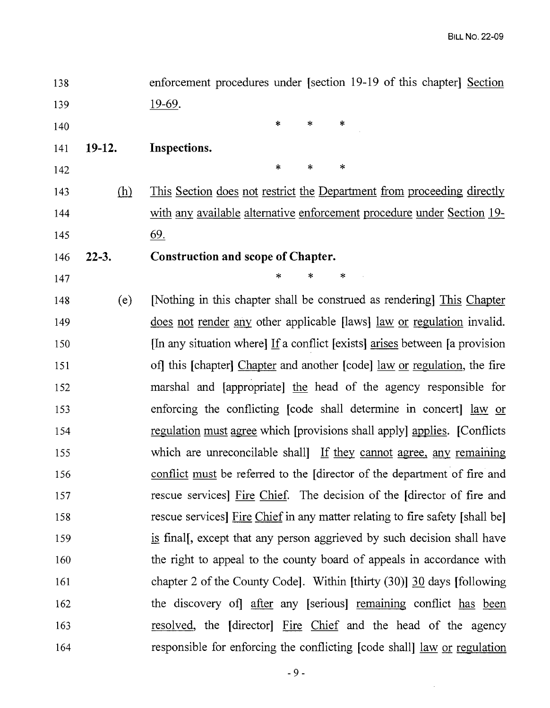| 138 |            | enforcement procedures under [section 19-19 of this chapter] Section                               |
|-----|------------|----------------------------------------------------------------------------------------------------|
| 139 |            | $19-69$ .                                                                                          |
| 140 |            | $\ast$<br>$\ast$<br>*                                                                              |
| 141 | $19-12.$   | Inspections.                                                                                       |
| 142 |            | $\ast$<br>$\ast$<br>$\ast$                                                                         |
| 143 | <u>(h)</u> | <u>This Section does not restrict the Department from proceeding directly</u>                      |
| 144 |            | with any available alternative enforcement procedure under Section 19-                             |
| 145 |            | $\underline{69}$ .                                                                                 |
| 146 | $22-3.$    | <b>Construction and scope of Chapter.</b>                                                          |
| 147 |            | ∗<br>∗<br>∗                                                                                        |
| 148 | (e)        | [Nothing in this chapter shall be construed as rendering] This Chapter                             |
| 149 |            | does not render any other applicable [laws] law or regulation invalid.                             |
| 150 |            | [In any situation where] If a conflict [exists] $\frac{arises}{\text{sees}}$ between [a provision] |
| 151 |            | of this [chapter] Chapter and another [code] <u>law</u> or regulation, the fire                    |
| 152 |            | marshal and [appropriate] the head of the agency responsible for                                   |
| 153 |            | enforcing the conflicting [code shall determine in concert] law or                                 |
| 154 |            | regulation must agree which [provisions shall apply] applies. [Conflicts                           |
| 155 |            | which are unreconcilable shall If they cannot agree, any remaining                                 |
| 156 |            | conflict must be referred to the [director of the department of fire and                           |
| 157 |            | rescue services] Fire Chief. The decision of the [director of fire and                             |
| 158 |            | rescue services] Fire Chief in any matter relating to fire safety [shall be]                       |
| 159 |            | is final, except that any person aggrieved by such decision shall have                             |
| 160 |            | the right to appeal to the county board of appeals in accordance with                              |
| 161 |            | chapter 2 of the County Code]. Within [thirty $(30)$ ] $\frac{30}{20}$ days [following]            |
| 162 |            | the discovery of after any [serious] remaining conflict has been                                   |
| 163 |            | resolved, the [director] Fire Chief and the head of the agency                                     |
| 164 |            | responsible for enforcing the conflicting [code shall] <u>law or regulation</u>                    |

 $\mathcal{L}^{\text{max}}_{\text{max}}$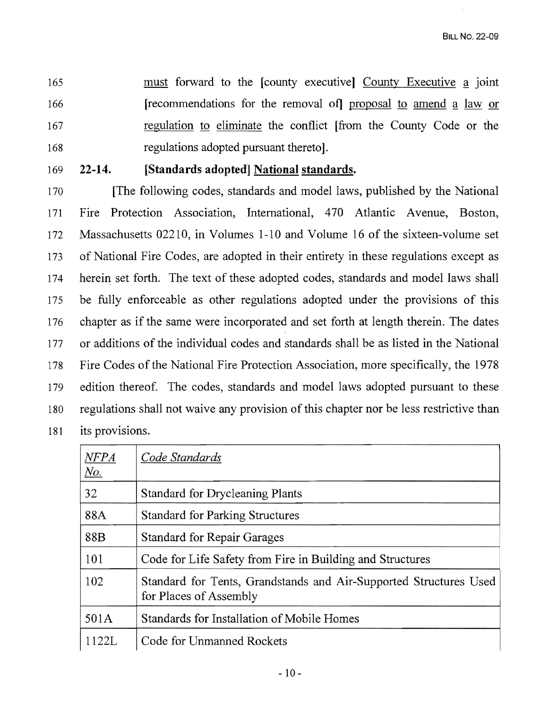165 must forward to the [county executive] County Executive a joint 166 **Interpreterate Frequeno** [recommendations for the removal of] proposal to amend a law or 167 regulation to eliminate the conflict [from the County Code or the 168 regulations adopted pursuant thereto].

## 169 22-14. [Standards adopted] National standards.

170 [The following codes, standards and model laws, published by the National 171 Fire Protection Association, International, 470 Atlantic Avenue, Boston, 172 Massachusetts 02210, in Volumes 1-10 and Volume 16 of the sixteen-volume set 173 of National Fire Codes, are adopted in their entirety in these regulations except as 174 herein set forth. The text of these adopted codes, standards and model laws shall 175 be fully enforceable as other regulations adopted under the provisions of this 176 chapter as if the same were incorporated and set forth at length therein. The dates 177 or additions of the individual codes and standards shall be as listed in the National 178 Fire Codes of the National Fire Protection Association, more specifically, the 1978 179 edition thereof. The codes, standards and model laws adopted pursuant to these 180 regulations shall not waive any provision of this chapter nor be less restrictive than 181 its provisions.

| NFPA<br><u>No.</u> | Code Standards                                                                              |
|--------------------|---------------------------------------------------------------------------------------------|
| 32                 | <b>Standard for Drycleaning Plants</b>                                                      |
| 88A                | <b>Standard for Parking Structures</b>                                                      |
| 88B                | <b>Standard for Repair Garages</b>                                                          |
| 101                | Code for Life Safety from Fire in Building and Structures                                   |
| 102                | Standard for Tents, Grandstands and Air-Supported Structures Used<br>for Places of Assembly |
| 501A               | Standards for Installation of Mobile Homes                                                  |
| 1122L              | Code for Unmanned Rockets                                                                   |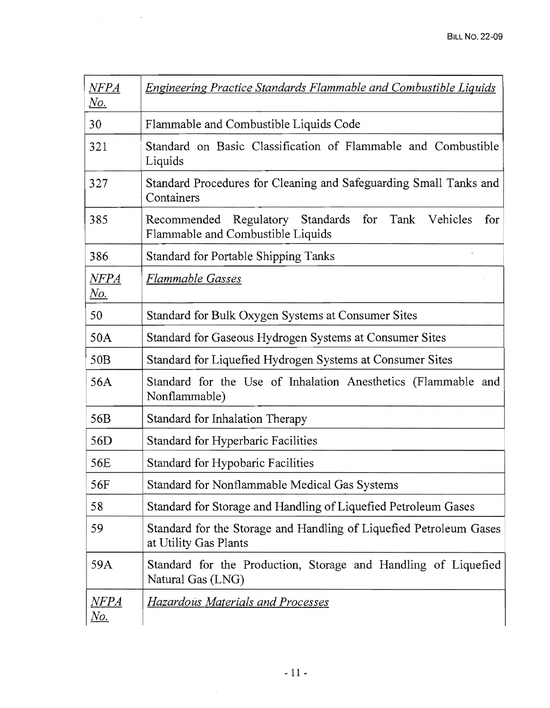| $\it{NFPA}$<br><u>No.</u>          | <u>Engineering Practice Standards Flammable and Combustible Liquids</u>                              |
|------------------------------------|------------------------------------------------------------------------------------------------------|
| 30                                 | Flammable and Combustible Liquids Code                                                               |
| 321                                | Standard on Basic Classification of Flammable and Combustible<br>Liquids                             |
| 327                                | Standard Procedures for Cleaning and Safeguarding Small Tanks and<br>Containers                      |
| 385                                | Recommended Regulatory Standards<br>for<br>Tank Vehicles<br>for<br>Flammable and Combustible Liquids |
| 386                                | Standard for Portable Shipping Tanks                                                                 |
| $\it{NFPA}$<br><u>No.</u>          | <b>Flammable Gasses</b>                                                                              |
| 50                                 | Standard for Bulk Oxygen Systems at Consumer Sites                                                   |
| 50A                                | Standard for Gaseous Hydrogen Systems at Consumer Sites                                              |
| 50B                                | Standard for Liquefied Hydrogen Systems at Consumer Sites                                            |
| 56A                                | Standard for the Use of Inhalation Anesthetics (Flammable and<br>Nonflammable)                       |
| 56B                                | Standard for Inhalation Therapy                                                                      |
| 56 <sub>D</sub>                    | Standard for Hyperbaric Facilities                                                                   |
| 56E                                | Standard for Hypobaric Facilities                                                                    |
| 56F                                | Standard for Nonflammable Medical Gas Systems                                                        |
| 58                                 | Standard for Storage and Handling of Liquefied Petroleum Gases                                       |
| 59                                 | Standard for the Storage and Handling of Liquefied Petroleum Gases<br>at Utility Gas Plants          |
| 59A                                | Standard for the Production, Storage and Handling of Liquefied<br>Natural Gas (LNG)                  |
| $\emph{NFPA}$<br>$\underline{No.}$ | <b>Hazardous Materials and Processes</b>                                                             |

 $\label{eq:2.1} \frac{1}{\sqrt{2\pi}}\int_{0}^{\infty}\frac{1}{\sqrt{2\pi}}\left(\frac{1}{\sqrt{2\pi}}\right)^{2\alpha} \frac{1}{\sqrt{2\pi}}\frac{1}{\sqrt{2\pi}}\frac{1}{\sqrt{2\pi}}\frac{1}{\sqrt{2\pi}}\frac{1}{\sqrt{2\pi}}\frac{1}{\sqrt{2\pi}}\frac{1}{\sqrt{2\pi}}\frac{1}{\sqrt{2\pi}}\frac{1}{\sqrt{2\pi}}\frac{1}{\sqrt{2\pi}}\frac{1}{\sqrt{2\pi}}\frac{1}{\sqrt{2\pi}}\frac{1}{\sqrt{2\pi}}$ 

 $\sim 10^{-1}$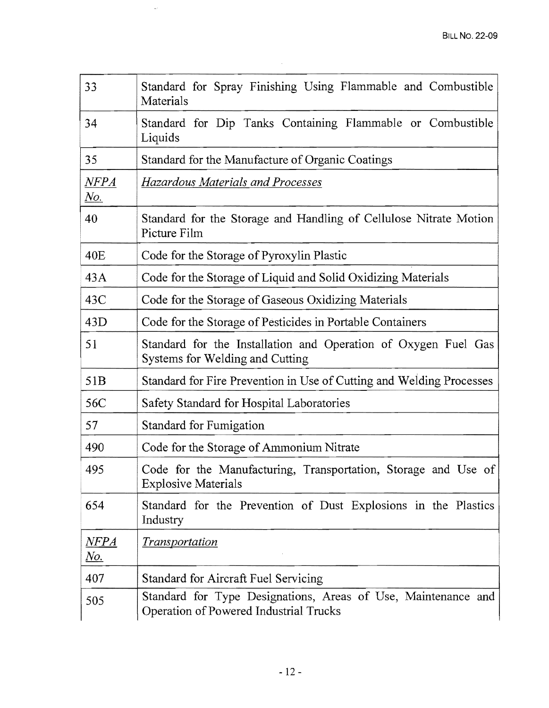| 33                        | Standard for Spray Finishing Using Flammable and Combustible<br>Materials                               |
|---------------------------|---------------------------------------------------------------------------------------------------------|
| 34                        | Standard for Dip Tanks Containing Flammable or Combustible<br>Liquids                                   |
| 35                        | Standard for the Manufacture of Organic Coatings                                                        |
| $\it{NFPA}$<br><u>No.</u> | Hazardous Materials and Processes                                                                       |
| 40                        | Standard for the Storage and Handling of Cellulose Nitrate Motion<br>Picture Film                       |
| 40 <sub>E</sub>           | Code for the Storage of Pyroxylin Plastic                                                               |
| 43A                       | Code for the Storage of Liquid and Solid Oxidizing Materials                                            |
| 43C                       | Code for the Storage of Gaseous Oxidizing Materials                                                     |
| 43D                       | Code for the Storage of Pesticides in Portable Containers                                               |
| 51                        | Standard for the Installation and Operation of Oxygen Fuel Gas<br>Systems for Welding and Cutting       |
| 51B                       | Standard for Fire Prevention in Use of Cutting and Welding Processes                                    |
| 56C                       | Safety Standard for Hospital Laboratories                                                               |
| 57                        | Standard for Fumigation                                                                                 |
| 490                       | Code for the Storage of Ammonium Nitrate                                                                |
| 495                       | Code for the Manufacturing, Transportation, Storage and Use of<br><b>Explosive Materials</b>            |
| 654                       | Standard for the Prevention of Dust Explosions in the Plastics<br>Industry                              |
| NFPA<br><u>No.</u>        | <b>Transportation</b>                                                                                   |
| 407                       | Standard for Aircraft Fuel Servicing                                                                    |
| 505                       | Standard for Type Designations, Areas of Use, Maintenance and<br>Operation of Powered Industrial Trucks |

 $\sim 10^6$ 

 $\mathcal{L}_{\mathcal{L}}$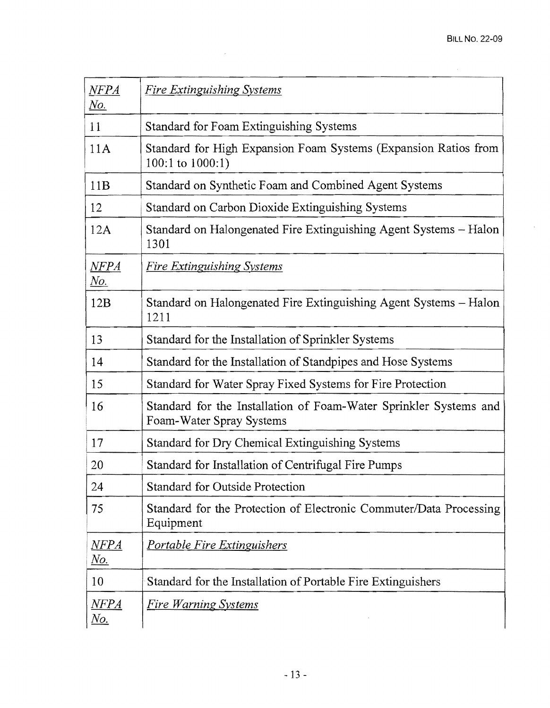$\mathcal{L}_{\mathrm{eff}}$ 

| $\overline{NFPA}$<br><u>No.</u>                           | <b>Fire Extinguishing Systems</b>                                                             |
|-----------------------------------------------------------|-----------------------------------------------------------------------------------------------|
| 11                                                        | Standard for Foam Extinguishing Systems                                                       |
| 11A                                                       | Standard for High Expansion Foam Systems (Expansion Ratios from<br>100:1 to $1000:1$ )        |
| 11B                                                       | Standard on Synthetic Foam and Combined Agent Systems                                         |
| 12                                                        | Standard on Carbon Dioxide Extinguishing Systems                                              |
| 12A                                                       | Standard on Halongenated Fire Extinguishing Agent Systems – Halon<br>1301                     |
| $\emph{NFPA}$<br><u>No.</u>                               | <b>Fire Extinguishing Systems</b>                                                             |
| 12B                                                       | Standard on Halongenated Fire Extinguishing Agent Systems – Halon<br>1211                     |
| 13                                                        | Standard for the Installation of Sprinkler Systems                                            |
| 14                                                        | Standard for the Installation of Standpipes and Hose Systems                                  |
| 15                                                        | Standard for Water Spray Fixed Systems for Fire Protection                                    |
| 16                                                        | Standard for the Installation of Foam-Water Sprinkler Systems and<br>Foam-Water Spray Systems |
| 17                                                        | Standard for Dry Chemical Extinguishing Systems                                               |
| 20                                                        | Standard for Installation of Centrifugal Fire Pumps                                           |
| 24                                                        | <b>Standard for Outside Protection</b>                                                        |
| 75                                                        | Standard for the Protection of Electronic Commuter/Data Processing<br>Equipment               |
| <u>NFPA</u><br>$\underline{\underline{N}\underline{o}}$ . | <u>Portable Fire Extinguishers</u>                                                            |
| 10                                                        | Standard for the Installation of Portable Fire Extinguishers                                  |
| $\overline{MFPA}$<br><u>No.</u>                           | <u>Fire Warning Systems</u>                                                                   |

 $\label{eq:2.1} \frac{1}{\sqrt{2}}\int_{\mathbb{R}^3} \frac{1}{\sqrt{2}}\left(\frac{1}{\sqrt{2}}\right)^2\left(\frac{1}{\sqrt{2}}\right)^2\left(\frac{1}{\sqrt{2}}\right)^2\left(\frac{1}{\sqrt{2}}\right)^2\left(\frac{1}{\sqrt{2}}\right)^2\left(\frac{1}{\sqrt{2}}\right)^2.$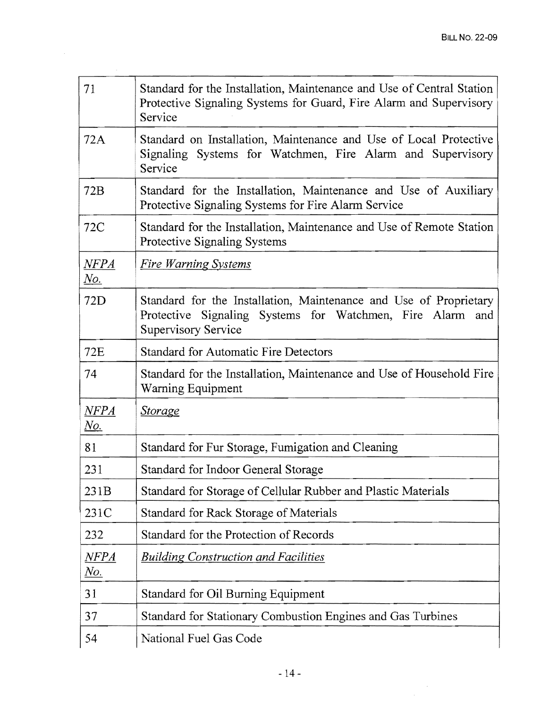| 71                        | Standard for the Installation, Maintenance and Use of Central Station<br>Protective Signaling Systems for Guard, Fire Alarm and Supervisory<br>Service          |
|---------------------------|-----------------------------------------------------------------------------------------------------------------------------------------------------------------|
| 72A                       | Standard on Installation, Maintenance and Use of Local Protective<br>Signaling Systems for Watchmen, Fire Alarm and Supervisory<br>Service                      |
| 72B                       | Standard for the Installation, Maintenance and Use of Auxiliary<br>Protective Signaling Systems for Fire Alarm Service                                          |
| 72C                       | Standard for the Installation, Maintenance and Use of Remote Station<br>Protective Signaling Systems                                                            |
| NFPA<br><u>No.</u>        | <b>Fire Warning Systems</b>                                                                                                                                     |
| 72D                       | Standard for the Installation, Maintenance and Use of Proprietary<br>Protective Signaling Systems for Watchmen, Fire Alarm<br>and<br><b>Supervisory Service</b> |
| <b>72E</b>                | <b>Standard for Automatic Fire Detectors</b>                                                                                                                    |
| 74                        | Standard for the Installation, Maintenance and Use of Household Fire<br>Warning Equipment                                                                       |
| $\it{NFPA}$<br><u>No.</u> | <u>Storage</u>                                                                                                                                                  |
| 81                        | Standard for Fur Storage, Fumigation and Cleaning                                                                                                               |
| 231                       | Standard for Indoor General Storage                                                                                                                             |
| 231B                      | Standard for Storage of Cellular Rubber and Plastic Materials                                                                                                   |
| 231C                      | Standard for Rack Storage of Materials                                                                                                                          |
| 232                       | Standard for the Protection of Records                                                                                                                          |
| NFPA<br><u>No.</u>        | <b>Building Construction and Facilities</b>                                                                                                                     |
| 31                        | Standard for Oil Burning Equipment                                                                                                                              |
| 37                        | Standard for Stationary Combustion Engines and Gas Turbines                                                                                                     |
| 54                        | National Fuel Gas Code                                                                                                                                          |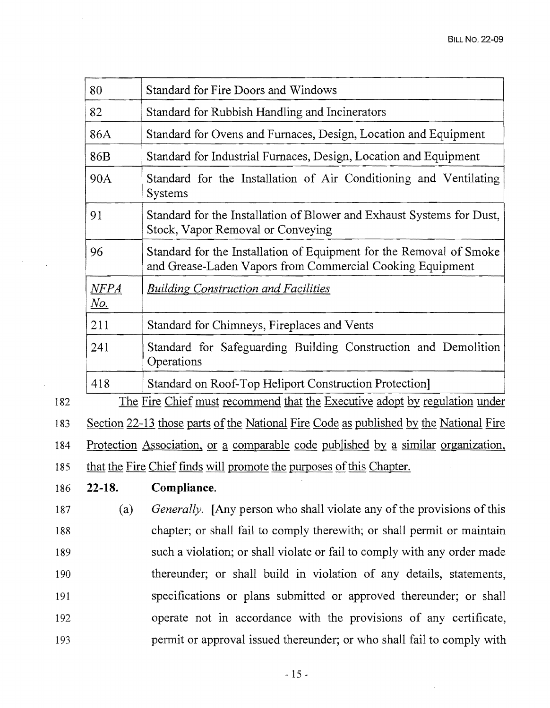| 80                     | Standard for Fire Doors and Windows                                                                                              |  |  |
|------------------------|----------------------------------------------------------------------------------------------------------------------------------|--|--|
| 82                     | Standard for Rubbish Handling and Incinerators                                                                                   |  |  |
| 86A                    | Standard for Ovens and Furnaces, Design, Location and Equipment                                                                  |  |  |
| 86B                    | Standard for Industrial Furnaces, Design, Location and Equipment                                                                 |  |  |
| 90A                    | Standard for the Installation of Air Conditioning and Ventilating<br><b>Systems</b>                                              |  |  |
| 91                     | Standard for the Installation of Blower and Exhaust Systems for Dust,<br>Stock, Vapor Removal or Conveying                       |  |  |
| 96                     | Standard for the Installation of Equipment for the Removal of Smoke<br>and Grease-Laden Vapors from Commercial Cooking Equipment |  |  |
| $\Delta MFA$<br>$N$ o. | <b>Building Construction and Facilities</b>                                                                                      |  |  |
| 211                    | Standard for Chimneys, Fireplaces and Vents                                                                                      |  |  |
| 241                    | Standard for Safeguarding Building Construction and Demolition<br>Operations                                                     |  |  |
| 418                    | Standard on Roof-Top Heliport Construction Protection]                                                                           |  |  |
|                        | <u>The Fire Chief must recommend that the Executive adopt by regulation under</u>                                                |  |  |
|                        | Section 22-13 those parts of the National Fire Code as published by the National Fire                                            |  |  |
|                        | Protection Association, or a comparable code published by a similar organization,                                                |  |  |
|                        | that the Fire Chief finds will promote the purposes of this Chapter.                                                             |  |  |
| $22 - 18.$             | Compliance.                                                                                                                      |  |  |
| (a)                    | <i>Generally.</i> [Any person who shall violate any of the provisions of this                                                    |  |  |
|                        | chapter; or shall fail to comply therewith; or shall permit or maintain                                                          |  |  |
|                        | such a violation; or shall violate or fail to comply with any order made                                                         |  |  |
|                        | thereunder; or shall build in violation of any details, statements,                                                              |  |  |
|                        | specifications or plans submitted or approved thereunder; or shall                                                               |  |  |
|                        | operate not in accordance with the provisions of any certificate,                                                                |  |  |
|                        | permit or approval issued thereunder; or who shall fail to comply with                                                           |  |  |
|                        |                                                                                                                                  |  |  |

 $\label{eq:2.1} \frac{1}{\sqrt{2\pi}}\int_{0}^{\infty}\frac{1}{\sqrt{2\pi}}\left(\frac{1}{\sqrt{2\pi}}\right)^{2\alpha}dx\,dx.$ 

 $\Delta \sim 1$ 

 $\sim$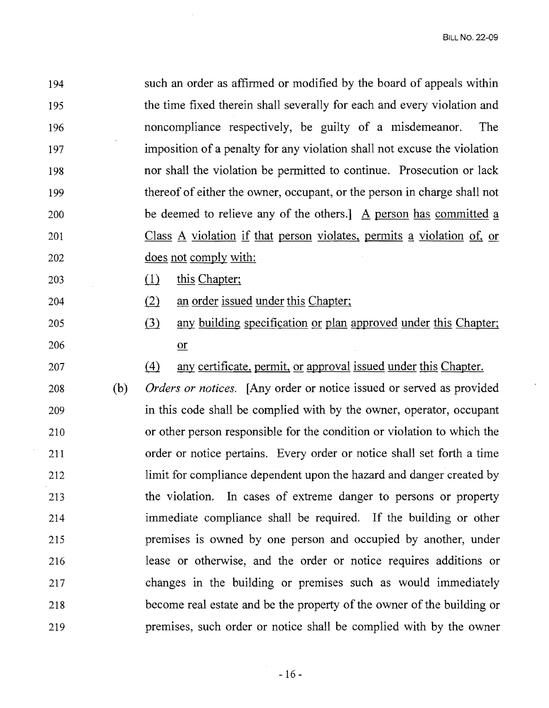194 such an order as affinned or modified by the board of appeals within 195 the time fixed therein shall severally for each and every violation and 196 noncompliance respectively, be guilty of a misdemeanor. The 197 imposition of a penalty for any violation shall not excuse the violation 198 nor shall the violation be pennitted to continue. Prosecution or lack 199 thereof of either the owner, occupant, or the person in charge shall not 200 be deemed to relieve any of the others. A person has committed a 201 Class A violation if that person violates, permits a violation of, or 202 does not comply with:

- 203 (1) this Chapter;
- 204 (2) an order issued under this Chapter;
- 205 (3) any building specification or plan approved under this Chapter; 206 <u>or</u>

207 (4) any certificate, permit, or approval issued under this Chapter.

208 (b) *Orders or notices.* [Any order or notice issued or served as provided 209 in this code shall be complied with by the owner, operator, occupant 210 or other person responsible for the condition or violation to which the 211 order or notice pertains. Every order or notice shall set forth a time 212 limit for compliance dependent upon the hazard and danger created by 213 the violation. In cases of extreme danger to persons or property 214 immediate compliance shall be required. If the building or other 215 premises is owned by one person and occupied by another, under 216 lease or otherwise, and the order or notice requires additions or 217 changes in the building or premises such as would immediately 218 become real estate and be the property of the owner of the building or 219 premises, such order or notice shall be complied with by the owner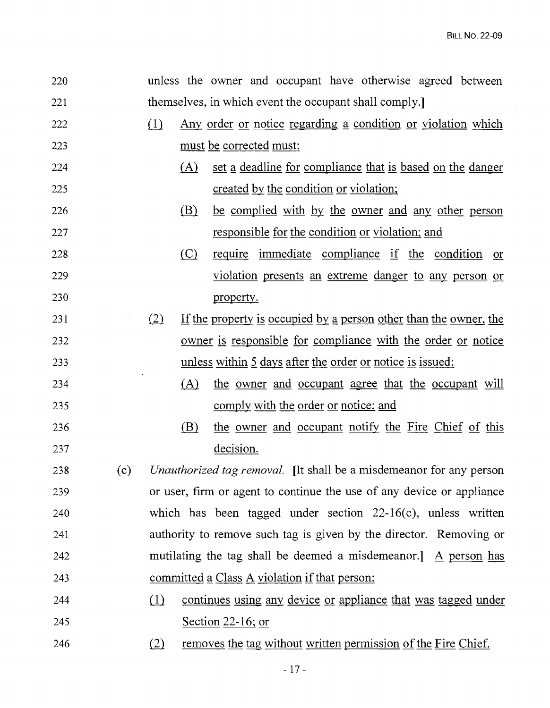$\sim 10^6$ 

 $\hat{\mathcal{A}}$ 

| 220 |     |          |         | unless the owner and occupant have otherwise agreed between                |
|-----|-----|----------|---------|----------------------------------------------------------------------------|
| 221 |     |          |         | themselves, in which event the occupant shall comply.                      |
| 222 |     | (1)      |         | <u>Any order or notice regarding a condition or violation which</u>        |
| 223 |     |          |         | <u>must be corrected must:</u>                                             |
| 224 |     |          | (A)     | set a deadline for compliance that is based on the danger                  |
| 225 |     |          |         | created by the condition or violation;                                     |
| 226 |     |          | (B)     | be complied with by the owner and any other person                         |
| 227 |     |          |         | responsible for the condition or violation; and                            |
| 228 |     |          | $\circ$ | require immediate compliance if the condition or                           |
| 229 |     |          |         | violation presents an extreme danger to any person or                      |
| 230 |     |          |         | property.                                                                  |
| 231 |     | (2)      |         | If the property is occupied by a person other than the owner, the          |
| 232 |     |          |         | <u>owner is responsible for compliance with the order or notice</u>        |
| 233 |     |          |         | unless within 5 days after the order or notice is issued:                  |
| 234 |     |          | (A)     | the owner and occupant agree that the occupant will                        |
| 235 |     |          |         | <u>comply with the order or notice; and</u>                                |
| 236 |     |          | (B)     | the owner and occupant notify the Fire Chief of this                       |
| 237 |     |          |         | decision.                                                                  |
| 238 | (c) |          |         | <i>Unauthorized tag removal.</i> [It shall be a misdemeanor for any person |
| 239 |     |          |         | or user, firm or agent to continue the use of any device or appliance      |
| 240 |     |          |         | which has been tagged under section $22-16(c)$ , unless written            |
| 241 |     |          |         | authority to remove such tag is given by the director. Removing or         |
| 242 |     |          |         | mutilating the tag shall be deemed a misdemeanor.] $\Delta$ person has     |
| 243 |     |          |         | committed a Class A violation if that person:                              |
| 244 |     | $\Omega$ |         | continues using any device or appliance that was tagged under              |
| 245 |     |          |         | <u>Section 22-16; or</u>                                                   |
| 246 |     | (2)      |         | removes the tag without written permission of the Fire Chief.              |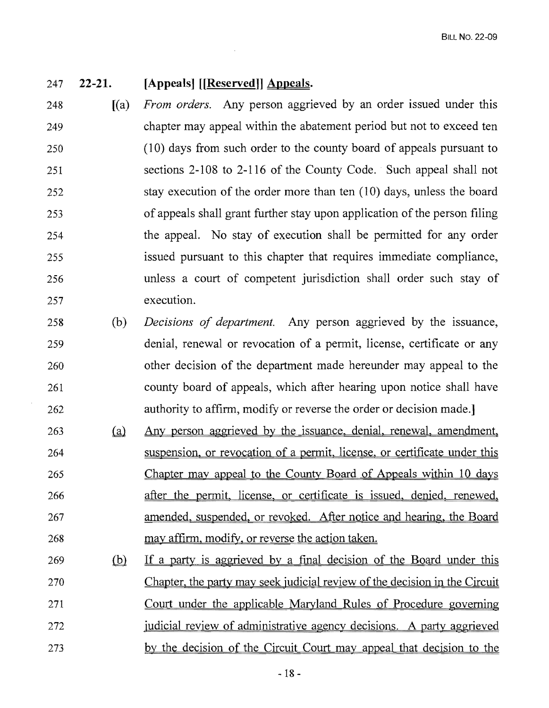#### 247 **22-21. [Appeals] [[Reserved]] Appeals.**

- $248$  [(a) 249 250 251 252 253 254 255 256 257 *From orders.* Any person aggrieved by an order issued under this chapter may appeal within the abatement period but not to exceed ten (10) days from such order to the county board of appeals pursuant to sections 2-108 to 2-116 of the County Code. Such appeal shall not stay execution of the order more than ten (10) days, unless the board of appeals shall grant further stay upon application of the person filing the appeal. No stay of execution shall be permitted for any order issued pursuant to this chapter that requires immediate compliance, unless a court of competent jurisdiction shall order such stay of execution.
- 258 (b) 259 260 261 262 *Decisions of department.* Any person aggrieved by the issuance, denial, renewal or revocation of a permit, license, certificate or any other decision of the department made hereunder may appeal to the county board of appeals, which after hearing upon notice shall have authority to affirm, modify or reverse the order or decision made.]
- $263$  (a) 264 265 266 267 268 Any person aggrieved by the issuance, denial, renewal, amendment, suspension, or revocation of a permit. license, or certificate under this Chapter may appeal to the County Board of Appeals within 10 days after the permit, license, or certificate is issued. denied, renewed, amended, suspended, or revoked. After notice and hearing, the Board may affirm, modify. or reverse the action taken.
- 269 (b) 270 271 272 273 If a party is aggrieved by a final decision of the Board under this Chapter, the party may seek judicial review of the decision in the Circuit Court under the applicable Maryland Rules of Procedure governing judicial review of administrative agency decisions. A party aggrieved by the decision of the Circuit Court may appeal that decision to the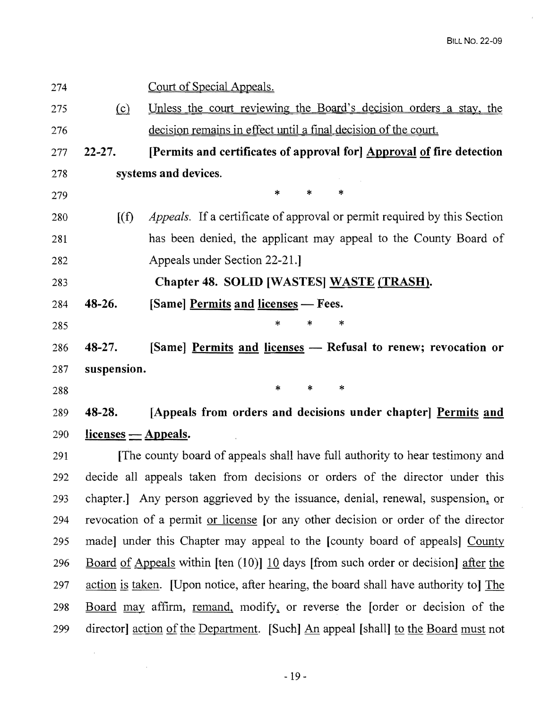- 274 Court of Special Appeals. 275 (c) Unless the court reviewing the Board's decision orders a stay, the 276 decision remains in effect until a final decision of the court. 277 22-27. [Permits and certificates of approval for] Approval of fire detection 278 systems and devices. 279  $\begin{array}{ccc} \ast & \ast & \ast \\ \end{array}$ 280 [(f) *Appeals.* If a certificate of approval or permit required by this Section 281 has been denied, the applicant may appeal to the County Board of 282 Appeals under Section 22-21.] 283 Chapter 48. SOLID [WASTES] WASTE (TRASH).  $284$  48-26. [Same] Permits and licenses - Fees. 285  $\begin{matrix} * & * \end{matrix}$   $\begin{matrix} * & * \end{matrix}$ 286 48-27. [Same] Permits and licenses - Refusal to renew; revocation or 287 suspension.  $288$  \* \* \* \* 289 48-28. [Appeals from orders and decisions under chapter] Permits and  $290$  licenses  $-$  Appeals. 291 [The county board of appeals shall have full authority to hear testimony and 292 decide all appeals taken from decisions or orders of the director under this 293 chapter.] Any person aggrieved by the issuance, denial, renewal, suspension~ or 294 revocation of a permit or license [or any other decision or order of the director 295 made] under this Chapter may appeal to the [county board of appeals] County 296 Board of Appeals within [ten (10)] 10 days [from such order or decision] after the 297 action is taken. [Upon notice, after hearing, the board shall have authority to] The 298 Board may affirm, remand, modify, or reverse the [order or decision of the
	- $-19-$

299 director] action of the Department. [Such] An appeal [shall] to the Board must not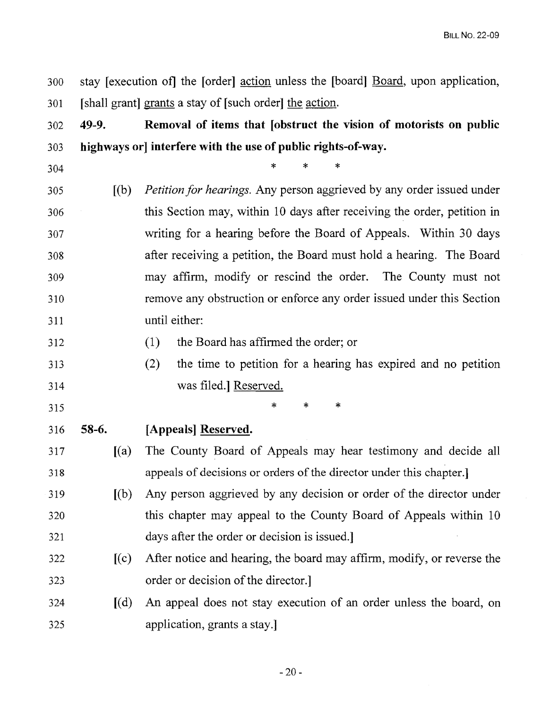300 stay [execution of] the [order] action unless the [board] Board, upon application, 301 [shall grant] grants a stay of [such order] the action.

# 302 **49-9. Removal of items that [obstruct the vision of motorists on public** 303 **highways or] interfere with the use of public rights-of-way.**

304

305 [(b) *Petition for hearings.* Any person aggrieved by any order issued under 306 this Section may, within 10 days after receiving the order, petition in 307 writing for a hearing before the Board of Appeals. Within 30 days 308 after receiving a petition, the Board must hold a hearing. The Board 309 may affirm, modify or rescind the order. The County must not 310 remove any obstruction or enforce any order issued under this Section 311 until either:

312 (1) the Board has affirmed the order; or

 $\begin{array}{ccc} \ast & \ast & \ast \end{array}$ 

313 (2) the time to petition for a hearing has expired and no petition 314 was filed.] Reserved.

315 **\*** \* \* \*

- 316 **58-6. [Appeals] Reserved.**
- 317 [(a) The County Board of Appeals may hear testimony and decide all 318 appeals of decisions or orders of the director under this chapter.
- 319 [(b) Any person aggrieved by any decision or order of the director under 320 this chapter may appeal to the County Board of Appeals within 10 321 days after the order or decision is issued.]
- 322 [(c) After notice and hearing, the board may affirm, modify, or reverse the 323 order or decision of the director.

# 324 [(d) An appeal does not stay execution of an order unless the board, on 325 application, grants a stay.]